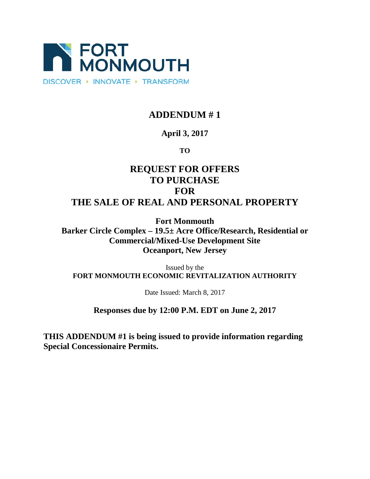

# **ADDENDUM # 1**

# **April 3, 2017**

# **TO**

# **REQUEST FOR OFFERS TO PURCHASE FOR THE SALE OF REAL AND PERSONAL PROPERTY**

**Fort Monmouth Barker Circle Complex – 19.5± Acre Office/Research, Residential or Commercial/Mixed-Use Development Site Oceanport, New Jersey**

Issued by the **FORT MONMOUTH ECONOMIC REVITALIZATION AUTHORITY**

Date Issued: March 8, 2017

## **Responses due by 12:00 P.M. EDT on June 2, 2017**

**THIS ADDENDUM #1 is being issued to provide information regarding Special Concessionaire Permits.**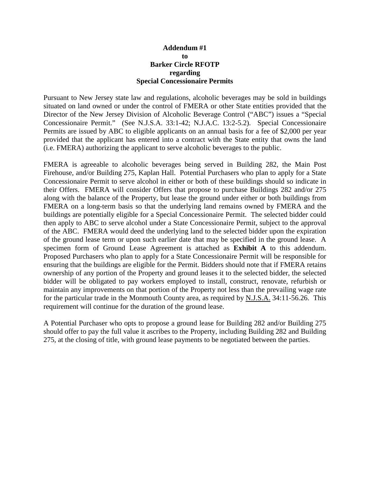### **Addendum #1 to Barker Circle RFOTP regarding Special Concessionaire Permits**

Pursuant to New Jersey state law and regulations, alcoholic beverages may be sold in buildings situated on land owned or under the control of FMERA or other State entities provided that the Director of the New Jersey Division of Alcoholic Beverage Control ("ABC") issues a "Special Concessionaire Permit." (See N.J.S.A. 33:1-42; N.J.A.C. 13:2-5.2). Special Concessionaire Permits are issued by ABC to eligible applicants on an annual basis for a fee of \$2,000 per year provided that the applicant has entered into a contract with the State entity that owns the land (i.e. FMERA) authorizing the applicant to serve alcoholic beverages to the public.

FMERA is agreeable to alcoholic beverages being served in Building 282, the Main Post Firehouse, and/or Building 275, Kaplan Hall. Potential Purchasers who plan to apply for a State Concessionaire Permit to serve alcohol in either or both of these buildings should so indicate in their Offers. FMERA will consider Offers that propose to purchase Buildings 282 and/or 275 along with the balance of the Property, but lease the ground under either or both buildings from FMERA on a long-term basis so that the underlying land remains owned by FMERA and the buildings are potentially eligible for a Special Concessionaire Permit. The selected bidder could then apply to ABC to serve alcohol under a State Concessionaire Permit, subject to the approval of the ABC. FMERA would deed the underlying land to the selected bidder upon the expiration of the ground lease term or upon such earlier date that may be specified in the ground lease. A specimen form of Ground Lease Agreement is attached as **Exhibit A** to this addendum. Proposed Purchasers who plan to apply for a State Concessionaire Permit will be responsible for ensuring that the buildings are eligible for the Permit. Bidders should note that if FMERA retains ownership of any portion of the Property and ground leases it to the selected bidder, the selected bidder will be obligated to pay workers employed to install, construct, renovate, refurbish or maintain any improvements on that portion of the Property not less than the prevailing wage rate for the particular trade in the Monmouth County area, as required by N.J.S.A. 34:11-56.26. This requirement will continue for the duration of the ground lease.

A Potential Purchaser who opts to propose a ground lease for Building 282 and/or Building 275 should offer to pay the full value it ascribes to the Property, including Building 282 and Building 275, at the closing of title, with ground lease payments to be negotiated between the parties.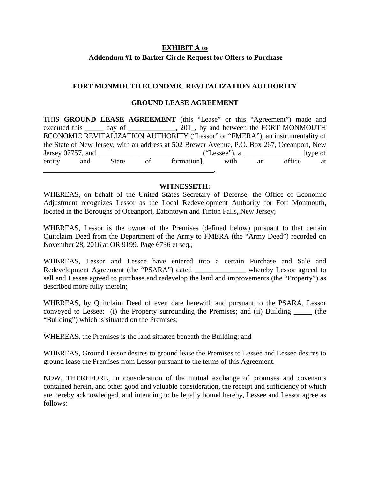### **EXHIBIT A to Addendum #1 to Barker Circle Request for Offers to Purchase**

### **FORT MONMOUTH ECONOMIC REVITALIZATION AUTHORITY**

#### **GROUND LEASE AGREEMENT**

THIS **GROUND LEASE AGREEMENT** (this "Lease" or this "Agreement") made and executed this day of  $\qquad \qquad$ , 201, by and between the FORT MONMOUTH ECONOMIC REVITALIZATION AUTHORITY ("Lessor" or "FMERA"), an instrumentality of the State of New Jersey, with an address at 502 Brewer Avenue, P.O. Box 267, Oceanport, New Jersey 07757, and \_\_\_\_\_\_\_\_\_\_\_\_\_\_\_\_\_\_\_\_\_\_\_\_\_\_\_\_\_("Lessee"), a \_\_\_\_\_\_\_\_\_\_\_\_\_\_\_\_ [type of entity and State of formation], with an office at \_\_\_\_\_\_\_\_\_\_\_\_\_\_\_\_\_\_\_\_\_\_\_\_\_\_\_\_\_\_\_\_\_\_\_\_\_\_\_\_\_\_\_\_\_\_\_.

#### **WITNESSETH:**

WHEREAS, on behalf of the United States Secretary of Defense, the Office of Economic Adjustment recognizes Lessor as the Local Redevelopment Authority for Fort Monmouth, located in the Boroughs of Oceanport, Eatontown and Tinton Falls, New Jersey;

WHEREAS, Lessor is the owner of the Premises (defined below) pursuant to that certain Quitclaim Deed from the Department of the Army to FMERA (the "Army Deed") recorded on November 28, 2016 at OR 9199, Page 6736 et seq.;

WHEREAS, Lessor and Lessee have entered into a certain Purchase and Sale and Redevelopment Agreement (the "PSARA") dated whereby Lessor agreed to sell and Lessee agreed to purchase and redevelop the land and improvements (the "Property") as described more fully therein;

WHEREAS, by Quitclaim Deed of even date herewith and pursuant to the PSARA, Lessor conveyed to Lessee: (i) the Property surrounding the Premises; and (ii) Building (the "Building") which is situated on the Premises;

WHEREAS, the Premises is the land situated beneath the Building; and

WHEREAS, Ground Lessor desires to ground lease the Premises to Lessee and Lessee desires to ground lease the Premises from Lessor pursuant to the terms of this Agreement.

NOW, THEREFORE, in consideration of the mutual exchange of promises and covenants contained herein, and other good and valuable consideration, the receipt and sufficiency of which are hereby acknowledged, and intending to be legally bound hereby, Lessee and Lessor agree as follows: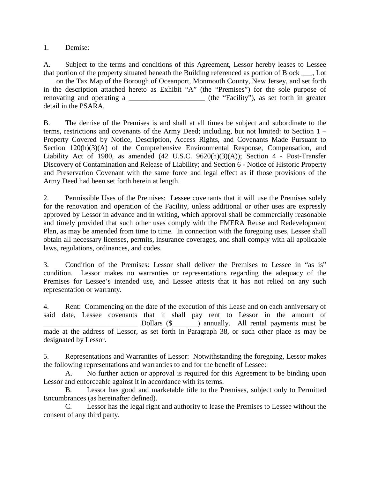1. Demise:

A. Subject to the terms and conditions of this Agreement, Lessor hereby leases to Lessee that portion of the property situated beneath the Building referenced as portion of Block \_\_\_, Lot \_\_\_ on the Tax Map of the Borough of Oceanport, Monmouth County, New Jersey, and set forth in the description attached hereto as Exhibit "A" (the "Premises") for the sole purpose of renovating and operating a \_\_\_\_\_\_\_\_\_\_\_\_\_\_\_\_\_\_\_\_\_\_\_\_\_ (the "Facility"), as set forth in greater detail in the PSARA.

B. The demise of the Premises is and shall at all times be subject and subordinate to the terms, restrictions and covenants of the Army Deed; including, but not limited: to Section 1 – Property Covered by Notice, Description, Access Rights, and Covenants Made Pursuant to Section 120(h)(3)(A) of the Comprehensive Environmental Response, Compensation, and Liability Act of 1980, as amended (42 U.S.C. 9620(h)(3)(A)); Section 4 - Post-Transfer Discovery of Contamination and Release of Liability; and Section 6 - Notice of Historic Property and Preservation Covenant with the same force and legal effect as if those provisions of the Army Deed had been set forth herein at length.

2. Permissible Uses of the Premises: Lessee covenants that it will use the Premises solely for the renovation and operation of the Facility, unless additional or other uses are expressly approved by Lessor in advance and in writing, which approval shall be commercially reasonable and timely provided that such other uses comply with the FMERA Reuse and Redevelopment Plan, as may be amended from time to time. In connection with the foregoing uses, Lessee shall obtain all necessary licenses, permits, insurance coverages, and shall comply with all applicable laws, regulations, ordinances, and codes.

3. Condition of the Premises: Lessor shall deliver the Premises to Lessee in "as is" condition. Lessor makes no warranties or representations regarding the adequacy of the Premises for Lessee's intended use, and Lessee attests that it has not relied on any such representation or warranty.

4. Rent: Commencing on the date of the execution of this Lease and on each anniversary of said date, Lessee covenants that it shall pay rent to Lessor in the amount of \_\_\_\_\_\_\_\_\_\_\_\_\_\_\_\_\_\_\_\_\_\_\_\_\_\_ Dollars (\$\_\_\_\_\_\_\_) annually. All rental payments must be made at the address of Lessor, as set forth in Paragraph 38, or such other place as may be designated by Lessor.

5. Representations and Warranties of Lessor: Notwithstanding the foregoing, Lessor makes the following representations and warranties to and for the benefit of Lessee:

A. No further action or approval is required for this Agreement to be binding upon Lessor and enforceable against it in accordance with its terms.

B. Lessor has good and marketable title to the Premises, subject only to Permitted Encumbrances (as hereinafter defined).

C. Lessor has the legal right and authority to lease the Premises to Lessee without the consent of any third party.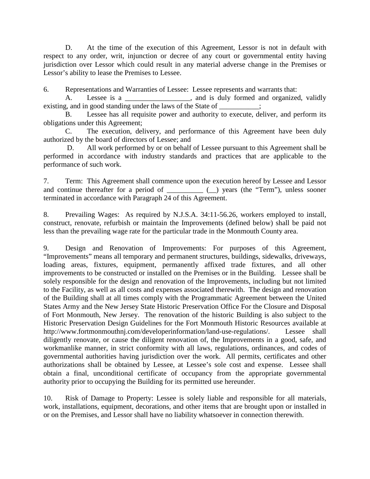D. At the time of the execution of this Agreement, Lessor is not in default with respect to any order, writ, injunction or decree of any court or governmental entity having jurisdiction over Lessor which could result in any material adverse change in the Premises or Lessor's ability to lease the Premises to Lessee.

6. Representations and Warranties of Lessee: Lessee represents and warrants that:

A. Lessee is a \_\_\_\_\_\_\_\_\_\_\_\_\_\_, and is duly formed and organized, validly existing, and in good standing under the laws of the State of  $\frac{1}{\sqrt{1-\frac{1}{n}}}\frac{1}{\sqrt{1-\frac{1}{n}}}\frac{1}{\sqrt{1-\frac{1}{n}}}\frac{1}{\sqrt{1-\frac{1}{n}}}\frac{1}{\sqrt{1-\frac{1}{n}}}\frac{1}{\sqrt{1-\frac{1}{n}}}\frac{1}{\sqrt{1-\frac{1}{n}}}\frac{1}{\sqrt{1-\frac{1}{n}}}\frac{1}{\sqrt{1-\frac{1}{n}}}\frac{1}{\sqrt{1-\frac{1}{$ 

B. Lessee has all requisite power and authority to execute, deliver, and perform its obligations under this Agreement;

C. The execution, delivery, and performance of this Agreement have been duly authorized by the board of directors of Lessee; and

D. All work performed by or on behalf of Lessee pursuant to this Agreement shall be performed in accordance with industry standards and practices that are applicable to the performance of such work.

7. Term: This Agreement shall commence upon the execution hereof by Lessee and Lessor and continue thereafter for a period of \_\_\_\_\_\_\_\_\_\_ (\_) years (the "Term"), unless sooner terminated in accordance with Paragraph 24 of this Agreement.

8. Prevailing Wages: As required by N.J.S.A. 34:11-56.26, workers employed to install, construct, renovate, refurbish or maintain the Improvements (defined below) shall be paid not less than the prevailing wage rate for the particular trade in the Monmouth County area.

9. Design and Renovation of Improvements: For purposes of this Agreement, "Improvements" means all temporary and permanent structures, buildings, sidewalks, driveways, loading areas, fixtures, equipment, permanently affixed trade fixtures, and all other improvements to be constructed or installed on the Premises or in the Building. Lessee shall be solely responsible for the design and renovation of the Improvements, including but not limited to the Facility, as well as all costs and expenses associated therewith. The design and renovation of the Building shall at all times comply with the Programmatic Agreement between the United States Army and the New Jersey State Historic Preservation Office For the Closure and Disposal of Fort Monmouth, New Jersey. The renovation of the historic Building is also subject to the Historic Preservation Design Guidelines for the Fort Monmouth Historic Resources available at http://www.fortmonmouthnj.com/developerinformation/land-use-regulations/. Lessee shall diligently renovate, or cause the diligent renovation of, the Improvements in a good, safe, and workmanlike manner, in strict conformity with all laws, regulations, ordinances, and codes of governmental authorities having jurisdiction over the work. All permits, certificates and other authorizations shall be obtained by Lessee, at Lessee's sole cost and expense. Lessee shall obtain a final, unconditional certificate of occupancy from the appropriate governmental authority prior to occupying the Building for its permitted use hereunder.

10. Risk of Damage to Property: Lessee is solely liable and responsible for all materials, work, installations, equipment, decorations, and other items that are brought upon or installed in or on the Premises, and Lessor shall have no liability whatsoever in connection therewith.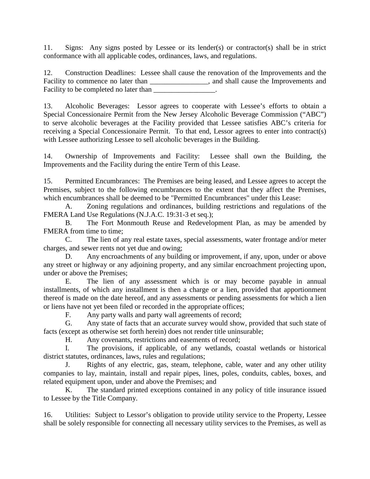11. Signs: Any signs posted by Lessee or its lender(s) or contractor(s) shall be in strict conformance with all applicable codes, ordinances, laws, and regulations.

12. Construction Deadlines: Lessee shall cause the renovation of the Improvements and the Facility to commence no later than \_\_\_\_\_\_\_\_\_\_\_\_\_\_\_\_, and shall cause the Improvements and Facility to be completed no later than

13. Alcoholic Beverages: Lessor agrees to cooperate with Lessee's efforts to obtain a Special Concessionaire Permit from the New Jersey Alcoholic Beverage Commission ("ABC") to serve alcoholic beverages at the Facility provided that Lessee satisfies ABC's criteria for receiving a Special Concessionaire Permit. To that end, Lessor agrees to enter into contract(s) with Lessee authorizing Lessee to sell alcoholic beverages in the Building.

14. Ownership of Improvements and Facility: Lessee shall own the Building, the Improvements and the Facility during the entire Term of this Lease.

15. Permitted Encumbrances: The Premises are being leased, and Lessee agrees to accept the Premises, subject to the following encumbrances to the extent that they affect the Premises, which encumbrances shall be deemed to be "Permitted Encumbrances" under this Lease:

A. Zoning regulations and ordinances, building restrictions and regulations of the FMERA Land Use Regulations (N.J.A.C. 19:31-3 et seq.);

B. The Fort Monmouth Reuse and Redevelopment Plan, as may be amended by FMERA from time to time:

C. The lien of any real estate taxes, special assessments, water frontage and/or meter charges, and sewer rents not yet due and owing;

D. Any encroachments of any building or improvement, if any, upon, under or above any street or highway or any adjoining property, and any similar encroachment projecting upon, under or above the Premises;

E. The lien of any assessment which is or may become payable in annual installments, of which any installment is then a charge or a lien, provided that apportionment thereof is made on the date hereof, and any assessments or pending assessments for which a lien or liens have not yet been filed or recorded in the appropriate offices;

F. Any party walls and party wall agreements of record;

G. Any state of facts that an accurate survey would show, provided that such state of facts (except as otherwise set forth herein) does not render title uninsurable;

H. Any covenants, restrictions and easements of record;

I. The provisions, if applicable, of any wetlands, coastal wetlands or historical district statutes, ordinances, laws, rules and regulations;

J. Rights of any electric, gas, steam, telephone, cable, water and any other utility companies to lay, maintain, install and repair pipes, lines, poles, conduits, cables, boxes, and related equipment upon, under and above the Premises; and

K. The standard printed exceptions contained in any policy of title insurance issued to Lessee by the Title Company.

16. Utilities: Subject to Lessor's obligation to provide utility service to the Property, Lessee shall be solely responsible for connecting all necessary utility services to the Premises, as well as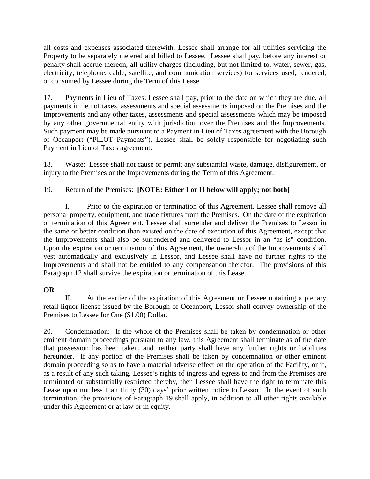all costs and expenses associated therewith. Lessee shall arrange for all utilities servicing the Property to be separately metered and billed to Lessee. Lessee shall pay, before any interest or penalty shall accrue thereon, all utility charges (including, but not limited to, water, sewer, gas, electricity, telephone, cable, satellite, and communication services) for services used, rendered, or consumed by Lessee during the Term of this Lease.

17. Payments in Lieu of Taxes: Lessee shall pay, prior to the date on which they are due, all payments in lieu of taxes, assessments and special assessments imposed on the Premises and the Improvements and any other taxes, assessments and special assessments which may be imposed by any other governmental entity with jurisdiction over the Premises and the Improvements. Such payment may be made pursuant to a Payment in Lieu of Taxes agreement with the Borough of Oceanport ("PILOT Payments"). Lessee shall be solely responsible for negotiating such Payment in Lieu of Taxes agreement.

18. Waste: Lessee shall not cause or permit any substantial waste, damage, disfigurement, or injury to the Premises or the Improvements during the Term of this Agreement.

### 19. Return of the Premises: **[NOTE: Either I or II below will apply; not both]**

I. Prior to the expiration or termination of this Agreement, Lessee shall remove all personal property, equipment, and trade fixtures from the Premises. On the date of the expiration or termination of this Agreement, Lessee shall surrender and deliver the Premises to Lessor in the same or better condition than existed on the date of execution of this Agreement, except that the Improvements shall also be surrendered and delivered to Lessor in an "as is" condition. Upon the expiration or termination of this Agreement, the ownership of the Improvements shall vest automatically and exclusively in Lessor, and Lessee shall have no further rights to the Improvements and shall not be entitled to any compensation therefor. The provisions of this Paragraph 12 shall survive the expiration or termination of this Lease.

### **OR**

II. At the earlier of the expiration of this Agreement or Lessee obtaining a plenary retail liquor license issued by the Borough of Oceanport, Lessor shall convey ownership of the Premises to Lessee for One (\$1.00) Dollar.

20. Condemnation: If the whole of the Premises shall be taken by condemnation or other eminent domain proceedings pursuant to any law, this Agreement shall terminate as of the date that possession has been taken, and neither party shall have any further rights or liabilities hereunder. If any portion of the Premises shall be taken by condemnation or other eminent domain proceeding so as to have a material adverse effect on the operation of the Facility, or if, as a result of any such taking, Lessee's rights of ingress and egress to and from the Premises are terminated or substantially restricted thereby, then Lessee shall have the right to terminate this Lease upon not less than thirty (30) days' prior written notice to Lessor. In the event of such termination, the provisions of Paragraph 19 shall apply, in addition to all other rights available under this Agreement or at law or in equity.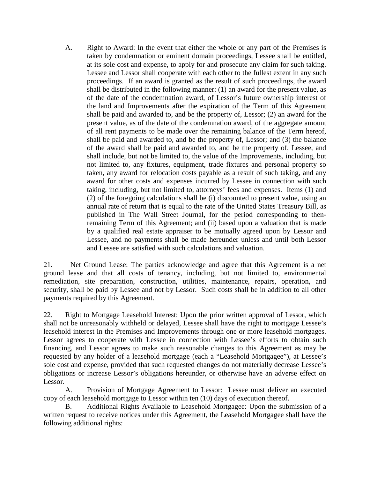A. Right to Award: In the event that either the whole or any part of the Premises is taken by condemnation or eminent domain proceedings, Lessee shall be entitled, at its sole cost and expense, to apply for and prosecute any claim for such taking. Lessee and Lessor shall cooperate with each other to the fullest extent in any such proceedings. If an award is granted as the result of such proceedings, the award shall be distributed in the following manner: (1) an award for the present value, as of the date of the condemnation award, of Lessor's future ownership interest of the land and Improvements after the expiration of the Term of this Agreement shall be paid and awarded to, and be the property of, Lessor; (2) an award for the present value, as of the date of the condemnation award, of the aggregate amount of all rent payments to be made over the remaining balance of the Term hereof, shall be paid and awarded to, and be the property of, Lessor; and (3) the balance of the award shall be paid and awarded to, and be the property of, Lessee, and shall include, but not be limited to, the value of the Improvements, including, but not limited to, any fixtures, equipment, trade fixtures and personal property so taken, any award for relocation costs payable as a result of such taking, and any award for other costs and expenses incurred by Lessee in connection with such taking, including, but not limited to, attorneys' fees and expenses. Items (1) and (2) of the foregoing calculations shall be (i) discounted to present value, using an annual rate of return that is equal to the rate of the United States Treasury Bill, as published in The Wall Street Journal, for the period corresponding to thenremaining Term of this Agreement; and (ii) based upon a valuation that is made by a qualified real estate appraiser to be mutually agreed upon by Lessor and Lessee, and no payments shall be made hereunder unless and until both Lessor and Lessee are satisfied with such calculations and valuation.

21. Net Ground Lease: The parties acknowledge and agree that this Agreement is a net ground lease and that all costs of tenancy, including, but not limited to, environmental remediation, site preparation, construction, utilities, maintenance, repairs, operation, and security, shall be paid by Lessee and not by Lessor. Such costs shall be in addition to all other payments required by this Agreement.

22. Right to Mortgage Leasehold Interest: Upon the prior written approval of Lessor, which shall not be unreasonably withheld or delayed, Lessee shall have the right to mortgage Lessee's leasehold interest in the Premises and Improvements through one or more leasehold mortgages. Lessor agrees to cooperate with Lessee in connection with Lessee's efforts to obtain such financing, and Lessor agrees to make such reasonable changes to this Agreement as may be requested by any holder of a leasehold mortgage (each a "Leasehold Mortgagee"), at Lessee's sole cost and expense, provided that such requested changes do not materially decrease Lessee's obligations or increase Lessor's obligations hereunder, or otherwise have an adverse effect on Lessor.

A. Provision of Mortgage Agreement to Lessor: Lessee must deliver an executed copy of each leasehold mortgage to Lessor within ten (10) days of execution thereof.

B. Additional Rights Available to Leasehold Mortgagee: Upon the submission of a written request to receive notices under this Agreement, the Leasehold Mortgagee shall have the following additional rights: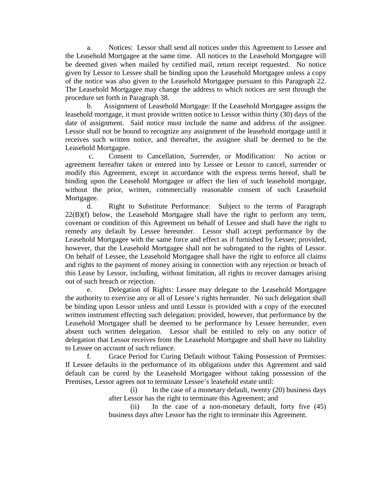a. Notices: Lessor shall send all notices under this Agreement to Lessee and the Leasehold Mortgagee at the same time. All notices to the Leasehold Mortgagee will be deemed given when mailed by certified mail, return receipt requested. No notice given by Lessor to Lessee shall be binding upon the Leasehold Mortgagee unless a copy of the notice was also given to the Leasehold Mortgagee pursuant to this Paragraph 22. The Leasehold Mortgagee may change the address to which notices are sent through the procedure set forth in Paragraph 38.

b. Assignment of Leasehold Mortgage: If the Leasehold Mortgagee assigns the leasehold mortgage, it must provide written notice to Lessor within thirty (30) days of the date of assignment. Said notice must include the name and address of the assignee. Lessor shall not be bound to recognize any assignment of the leasehold mortgage until it receives such written notice, and thereafter, the assignee shall be deemed to be the Leasehold Mortgagee.

c. Consent to Cancellation, Surrender, or Modification: No action or agreement hereafter taken or entered into by Lessee or Lessor to cancel, surrender or modify this Agreement, except in accordance with the express terms hereof, shall be binding upon the Leasehold Mortgagee or affect the lien of such leasehold mortgage, without the prior, written, commercially reasonable consent of such Leasehold Mortgagee.

d. Right to Substitute Performance: Subject to the terms of Paragraph  $22(B)(f)$  below, the Leasehold Mortgagee shall have the right to perform any term, covenant or condition of this Agreement on behalf of Lessee and shall have the right to remedy any default by Lessee hereunder. Lessor shall accept performance by the Leasehold Mortgagee with the same force and effect as if furnished by Lessee; provided, however, that the Leasehold Mortgagee shall not be subrogated to the rights of Lessor. On behalf of Lessee, the Leasehold Mortgagee shall have the right to enforce all claims and rights to the payment of money arising in connection with any rejection or breach of this Lease by Lessor, including, without limitation, all rights to recover damages arising out of such breach or rejection.

Delegation of Rights: Lessee may delegate to the Leasehold Mortgagee the authority to exercise any or all of Lessee's rights hereunder. No such delegation shall be binding upon Lessor unless and until Lessor is provided with a copy of the executed written instrument effecting such delegation; provided, however, that performance by the Leasehold Mortgagee shall be deemed to be performance by Lessee hereunder, even absent such written delegation. Lessor shall be entitled to rely on any notice of delegation that Lessor receives from the Leasehold Mortgagee and shall have no liability to Lessee on account of such reliance.

f. Grace Period for Curing Default without Taking Possession of Premises: If Lessee defaults in the performance of its obligations under this Agreement and said default can be cured by the Leasehold Mortgagee without taking possession of the Premises, Lessor agrees not to terminate Lessee's leasehold estate until:

> $(i)$  In the case of a monetary default, twenty  $(20)$  business days after Lessor has the right to terminate this Agreement; and

> (ii) In the case of a non-monetary default, forty five (45) business days after Lessor has the right to terminate this Agreement.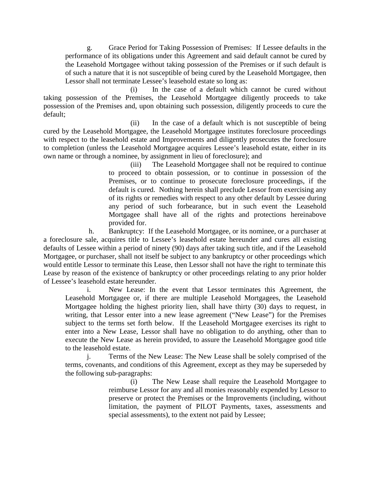g. Grace Period for Taking Possession of Premises: If Lessee defaults in the performance of its obligations under this Agreement and said default cannot be cured by the Leasehold Mortgagee without taking possession of the Premises or if such default is of such a nature that it is not susceptible of being cured by the Leasehold Mortgagee, then Lessor shall not terminate Lessee's leasehold estate so long as:

(i) In the case of a default which cannot be cured without taking possession of the Premises, the Leasehold Mortgagee diligently proceeds to take possession of the Premises and, upon obtaining such possession, diligently proceeds to cure the default;

(ii) In the case of a default which is not susceptible of being cured by the Leasehold Mortgagee, the Leasehold Mortgagee institutes foreclosure proceedings with respect to the leasehold estate and Improvements and diligently prosecutes the foreclosure to completion (unless the Leasehold Mortgagee acquires Lessee's leasehold estate, either in its own name or through a nominee, by assignment in lieu of foreclosure); and

> (iii) The Leasehold Mortgagee shall not be required to continue to proceed to obtain possession, or to continue in possession of the Premises, or to continue to prosecute foreclosure proceedings, if the default is cured. Nothing herein shall preclude Lessor from exercising any of its rights or remedies with respect to any other default by Lessee during any period of such forbearance, but in such event the Leasehold Mortgagee shall have all of the rights and protections hereinabove provided for.

h. Bankruptcy: If the Leasehold Mortgagee, or its nominee, or a purchaser at a foreclosure sale, acquires title to Lessee's leasehold estate hereunder and cures all existing defaults of Lessee within a period of ninety (90) days after taking such title, and if the Leasehold Mortgagee, or purchaser, shall not itself be subject to any bankruptcy or other proceedings which would entitle Lessor to terminate this Lease, then Lessor shall not have the right to terminate this Lease by reason of the existence of bankruptcy or other proceedings relating to any prior holder of Lessee's leasehold estate hereunder.

i. New Lease: In the event that Lessor terminates this Agreement, the Leasehold Mortgagee or, if there are multiple Leasehold Mortgagees, the Leasehold Mortgagee holding the highest priority lien, shall have thirty (30) days to request, in writing, that Lessor enter into a new lease agreement ("New Lease") for the Premises subject to the terms set forth below. If the Leasehold Mortgagee exercises its right to enter into a New Lease, Lessor shall have no obligation to do anything, other than to execute the New Lease as herein provided, to assure the Leasehold Mortgagee good title to the leasehold estate.

j. Terms of the New Lease: The New Lease shall be solely comprised of the terms, covenants, and conditions of this Agreement, except as they may be superseded by the following sub-paragraphs:

> (i) The New Lease shall require the Leasehold Mortgagee to reimburse Lessor for any and all monies reasonably expended by Lessor to preserve or protect the Premises or the Improvements (including, without limitation, the payment of PILOT Payments, taxes, assessments and special assessments), to the extent not paid by Lessee;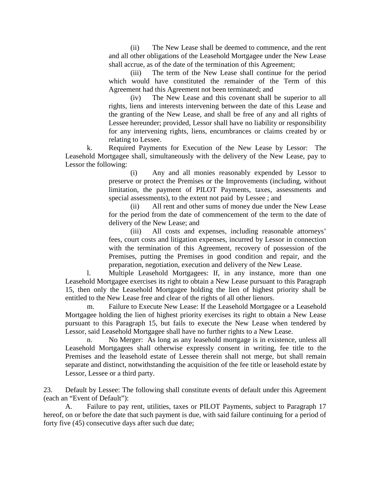(ii) The New Lease shall be deemed to commence, and the rent and all other obligations of the Leasehold Mortgagee under the New Lease shall accrue, as of the date of the termination of this Agreement;

(iii) The term of the New Lease shall continue for the period which would have constituted the remainder of the Term of this Agreement had this Agreement not been terminated; and

(iv) The New Lease and this covenant shall be superior to all rights, liens and interests intervening between the date of this Lease and the granting of the New Lease, and shall be free of any and all rights of Lessee hereunder; provided, Lessor shall have no liability or responsibility for any intervening rights, liens, encumbrances or claims created by or relating to Lessee.

k. Required Payments for Execution of the New Lease by Lessor: The Leasehold Mortgagee shall, simultaneously with the delivery of the New Lease, pay to Lessor the following:

> (i) Any and all monies reasonably expended by Lessor to preserve or protect the Premises or the Improvements (including, without limitation, the payment of PILOT Payments, taxes, assessments and special assessments), to the extent not paid by Lessee ; and

> (ii) All rent and other sums of money due under the New Lease for the period from the date of commencement of the term to the date of delivery of the New Lease; and

> (iii) All costs and expenses, including reasonable attorneys' fees, court costs and litigation expenses, incurred by Lessor in connection with the termination of this Agreement, recovery of possession of the Premises, putting the Premises in good condition and repair, and the preparation, negotiation, execution and delivery of the New Lease.

l. Multiple Leasehold Mortgagees: If, in any instance, more than one Leasehold Mortgagee exercises its right to obtain a New Lease pursuant to this Paragraph 15, then only the Leasehold Mortgagee holding the lien of highest priority shall be entitled to the New Lease free and clear of the rights of all other lienors.

m. Failure to Execute New Lease: If the Leasehold Mortgagee or a Leasehold Mortgagee holding the lien of highest priority exercises its right to obtain a New Lease pursuant to this Paragraph 15, but fails to execute the New Lease when tendered by Lessor, said Leasehold Mortgagee shall have no further rights to a New Lease.

n. No Merger: As long as any leasehold mortgage is in existence, unless all Leasehold Mortgagees shall otherwise expressly consent in writing, fee title to the Premises and the leasehold estate of Lessee therein shall not merge, but shall remain separate and distinct, notwithstanding the acquisition of the fee title or leasehold estate by Lessor, Lessee or a third party.

23. Default by Lessee: The following shall constitute events of default under this Agreement (each an "Event of Default"):

A. Failure to pay rent, utilities, taxes or PILOT Payments, subject to Paragraph 17 hereof, on or before the date that such payment is due, with said failure continuing for a period of forty five (45) consecutive days after such due date;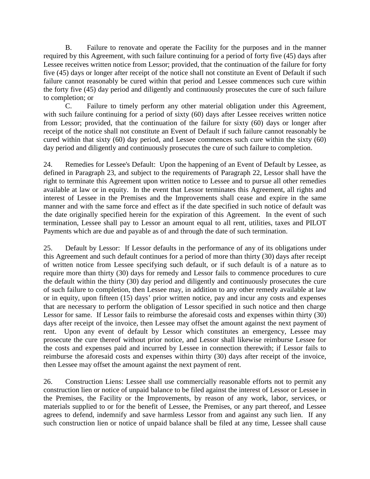B. Failure to renovate and operate the Facility for the purposes and in the manner required by this Agreement, with such failure continuing for a period of forty five (45) days after Lessee receives written notice from Lessor; provided, that the continuation of the failure for forty five (45) days or longer after receipt of the notice shall not constitute an Event of Default if such failure cannot reasonably be cured within that period and Lessee commences such cure within the forty five (45) day period and diligently and continuously prosecutes the cure of such failure to completion; or

C. Failure to timely perform any other material obligation under this Agreement, with such failure continuing for a period of sixty (60) days after Lessee receives written notice from Lessor; provided, that the continuation of the failure for sixty (60) days or longer after receipt of the notice shall not constitute an Event of Default if such failure cannot reasonably be cured within that sixty (60) day period, and Lessee commences such cure within the sixty (60) day period and diligently and continuously prosecutes the cure of such failure to completion.

24. Remedies for Lessee's Default: Upon the happening of an Event of Default by Lessee, as defined in Paragraph 23, and subject to the requirements of Paragraph 22, Lessor shall have the right to terminate this Agreement upon written notice to Lessee and to pursue all other remedies available at law or in equity. In the event that Lessor terminates this Agreement, all rights and interest of Lessee in the Premises and the Improvements shall cease and expire in the same manner and with the same force and effect as if the date specified in such notice of default was the date originally specified herein for the expiration of this Agreement. In the event of such termination, Lessee shall pay to Lessor an amount equal to all rent, utilities, taxes and PILOT Payments which are due and payable as of and through the date of such termination.

25. Default by Lessor: If Lessor defaults in the performance of any of its obligations under this Agreement and such default continues for a period of more than thirty (30) days after receipt of written notice from Lessee specifying such default, or if such default is of a nature as to require more than thirty (30) days for remedy and Lessor fails to commence procedures to cure the default within the thirty (30) day period and diligently and continuously prosecutes the cure of such failure to completion, then Lessee may, in addition to any other remedy available at law or in equity, upon fifteen (15) days' prior written notice, pay and incur any costs and expenses that are necessary to perform the obligation of Lessor specified in such notice and then charge Lessor for same. If Lessor fails to reimburse the aforesaid costs and expenses within thirty (30) days after receipt of the invoice, then Lessee may offset the amount against the next payment of rent. Upon any event of default by Lessor which constitutes an emergency, Lessee may prosecute the cure thereof without prior notice, and Lessor shall likewise reimburse Lessee for the costs and expenses paid and incurred by Lessee in connection therewith; if Lessor fails to reimburse the aforesaid costs and expenses within thirty (30) days after receipt of the invoice, then Lessee may offset the amount against the next payment of rent.

26. Construction Liens: Lessee shall use commercially reasonable efforts not to permit any construction lien or notice of unpaid balance to be filed against the interest of Lessor or Lessee in the Premises, the Facility or the Improvements, by reason of any work, labor, services, or materials supplied to or for the benefit of Lessee, the Premises, or any part thereof, and Lessee agrees to defend, indemnify and save harmless Lessor from and against any such lien. If any such construction lien or notice of unpaid balance shall be filed at any time, Lessee shall cause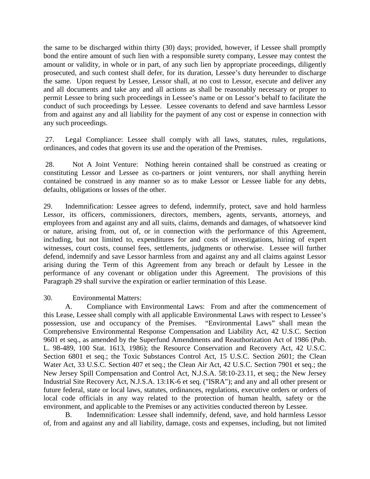the same to be discharged within thirty (30) days; provided, however, if Lessee shall promptly bond the entire amount of such lien with a responsible surety company, Lessee may contest the amount or validity, in whole or in part, of any such lien by appropriate proceedings, diligently prosecuted, and such contest shall defer, for its duration, Lessee's duty hereunder to discharge the same. Upon request by Lessee, Lessor shall, at no cost to Lessor, execute and deliver any and all documents and take any and all actions as shall be reasonably necessary or proper to permit Lessee to bring such proceedings in Lessee's name or on Lessor's behalf to facilitate the conduct of such proceedings by Lessee. Lessee covenants to defend and save harmless Lessor from and against any and all liability for the payment of any cost or expense in connection with any such proceedings.

27. Legal Compliance: Lessee shall comply with all laws, statutes, rules, regulations, ordinances, and codes that govern its use and the operation of the Premises.

28. Not A Joint Venture: Nothing herein contained shall be construed as creating or constituting Lessor and Lessee as co-partners or joint venturers, nor shall anything herein contained be construed in any manner so as to make Lessor or Lessee liable for any debts, defaults, obligations or losses of the other.

29. Indemnification: Lessee agrees to defend, indemnify, protect, save and hold harmless Lessor, its officers, commissioners, directors, members, agents, servants, attorneys, and employees from and against any and all suits, claims, demands and damages, of whatsoever kind or nature, arising from, out of, or in connection with the performance of this Agreement, including, but not limited to, expenditures for and costs of investigations, hiring of expert witnesses, court costs, counsel fees, settlements, judgments or otherwise. Lessee will further defend, indemnify and save Lessor harmless from and against any and all claims against Lessor arising during the Term of this Agreement from any breach or default by Lessee in the performance of any covenant or obligation under this Agreement. The provisions of this Paragraph 29 shall survive the expiration or earlier termination of this Lease.

30. Environmental Matters:

A. Compliance with Environmental Laws: From and after the commencement of this Lease, Lessee shall comply with all applicable Environmental Laws with respect to Lessee's possession, use and occupancy of the Premises. "Environmental Laws" shall mean the Comprehensive Environmental Response Compensation and Liability Act, 42 U.S.C. Section 9601 et seq., as amended by the Superfund Amendments and Reauthorization Act of 1986 (Pub. L. 98-489, 100 Stat. 1613, 1986); the Resource Conservation and Recovery Act, 42 U.S.C. Section 6801 et seq.; the Toxic Substances Control Act, 15 U.S.C. Section 2601; the Clean Water Act, 33 U.S.C. Section 407 et seq.; the Clean Air Act, 42 U.S.C. Section 7901 et seq.; the New Jersey Spill Compensation and Control Act, N.J.S.A. 58:10-23.11, et seq.; the New Jersey Industrial Site Recovery Act, N.J.S.A. 13:1K-6 et seq. ("ISRA"); and any and all other present or future federal, state or local laws, statutes, ordinances, regulations, executive orders or orders of local code officials in any way related to the protection of human health, safety or the environment, and applicable to the Premises or any activities conducted thereon by Lessee.

B. Indemnification: Lessee shall indemnify, defend, save, and hold harmless Lessor of, from and against any and all liability, damage, costs and expenses, including, but not limited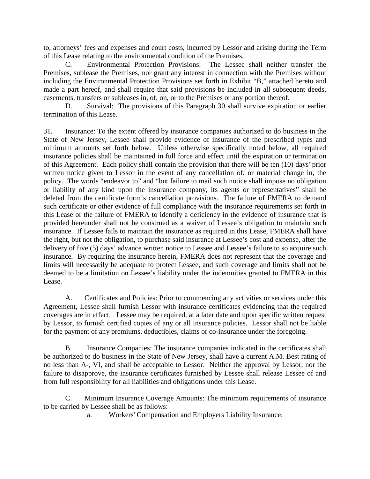to, attorneys' fees and expenses and court costs, incurred by Lessor and arising during the Term of this Lease relating to the environmental condition of the Premises.

C. Environmental Protection Provisions: The Lessee shall neither transfer the Premises, sublease the Premises, nor grant any interest in connection with the Premises without including the Environmental Protection Provisions set forth in Exhibit "B," attached hereto and made a part hereof, and shall require that said provisions be included in all subsequent deeds, easements, transfers or subleases in, of, on, or to the Premises or any portion thereof.

D. Survival: The provisions of this Paragraph 30 shall survive expiration or earlier termination of this Lease.

31. Insurance: To the extent offered by insurance companies authorized to do business in the State of New Jersey, Lessee shall provide evidence of insurance of the prescribed types and minimum amounts set forth below. Unless otherwise specifically noted below, all required insurance policies shall be maintained in full force and effect until the expiration or termination of this Agreement. Each policy shall contain the provision that there will be ten (10) days' prior written notice given to Lessor in the event of any cancellation of, or material change in, the policy. The words "endeavor to" and "but failure to mail such notice shall impose no obligation or liability of any kind upon the insurance company, its agents or representatives" shall be deleted from the certificate form's cancellation provisions. The failure of FMERA to demand such certificate or other evidence of full compliance with the insurance requirements set forth in this Lease or the failure of FMERA to identify a deficiency in the evidence of insurance that is provided hereunder shall not be construed as a waiver of Lessee's obligation to maintain such insurance. If Lessee fails to maintain the insurance as required in this Lease, FMERA shall have the right, but not the obligation, to purchase said insurance at Lessee's cost and expense, after the delivery of five (5) days' advance written notice to Lessee and Lessee's failure to so acquire such insurance. By requiring the insurance herein, FMERA does not represent that the coverage and limits will necessarily be adequate to protect Lessee, and such coverage and limits shall not be deemed to be a limitation on Lessee's liability under the indemnities granted to FMERA in this Lease.

A. Certificates and Policies: Prior to commencing any activities or services under this Agreement, Lessee shall furnish Lessor with insurance certificates evidencing that the required coverages are in effect. Lessee may be required, at a later date and upon specific written request by Lessor, to furnish certified copies of any or all insurance policies. Lessor shall not be liable for the payment of any premiums, deductibles, claims or co-insurance under the foregoing.

B. Insurance Companies: The insurance companies indicated in the certificates shall be authorized to do business in the State of New Jersey, shall have a current A.M. Best rating of no less than A-, VI, and shall be acceptable to Lessor. Neither the approval by Lessor, nor the failure to disapprove, the insurance certificates furnished by Lessee shall release Lessee of and from full responsibility for all liabilities and obligations under this Lease.

C. Minimum Insurance Coverage Amounts: The minimum requirements of insurance to be carried by Lessee shall be as follows:

a. Workers' Compensation and Employers Liability Insurance: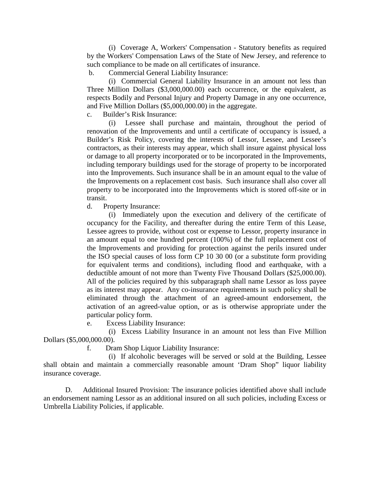(i) Coverage A, Workers' Compensation - Statutory benefits as required by the Workers' Compensation Laws of the State of New Jersey, and reference to such compliance to be made on all certificates of insurance.

b. Commercial General Liability Insurance:

(i) Commercial General Liability Insurance in an amount not less than Three Million Dollars (\$3,000,000.00) each occurrence, or the equivalent, as respects Bodily and Personal Injury and Property Damage in any one occurrence, and Five Million Dollars (\$5,000,000.00) in the aggregate.

c. Builder's Risk Insurance:

(i) Lessee shall purchase and maintain, throughout the period of renovation of the Improvements and until a certificate of occupancy is issued, a Builder's Risk Policy, covering the interests of Lessor, Lessee, and Lessee's contractors, as their interests may appear, which shall insure against physical loss or damage to all property incorporated or to be incorporated in the Improvements, including temporary buildings used for the storage of property to be incorporated into the Improvements. Such insurance shall be in an amount equal to the value of the Improvements on a replacement cost basis. Such insurance shall also cover all property to be incorporated into the Improvements which is stored off-site or in transit.

d. Property Insurance:

(i) Immediately upon the execution and delivery of the certificate of occupancy for the Facility, and thereafter during the entire Term of this Lease, Lessee agrees to provide, without cost or expense to Lessor, property insurance in an amount equal to one hundred percent (100%) of the full replacement cost of the Improvements and providing for protection against the perils insured under the ISO special causes of loss form CP 10 30 00 (or a substitute form providing for equivalent terms and conditions), including flood and earthquake, with a deductible amount of not more than Twenty Five Thousand Dollars (\$25,000.00). All of the policies required by this subparagraph shall name Lessor as loss payee as its interest may appear. Any co-insurance requirements in such policy shall be eliminated through the attachment of an agreed-amount endorsement, the activation of an agreed-value option, or as is otherwise appropriate under the particular policy form.

e. Excess Liability Insurance:

(i) Excess Liability Insurance in an amount not less than Five Million Dollars (\$5,000,000.00).

f. Dram Shop Liquor Liability Insurance:

(i) If alcoholic beverages will be served or sold at the Building, Lessee shall obtain and maintain a commercially reasonable amount 'Dram Shop" liquor liability insurance coverage.

D. Additional Insured Provision: The insurance policies identified above shall include an endorsement naming Lessor as an additional insured on all such policies, including Excess or Umbrella Liability Policies, if applicable.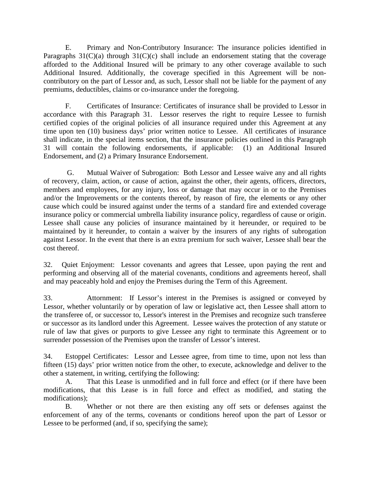E. Primary and Non-Contributory Insurance: The insurance policies identified in Paragraphs  $31(C)(a)$  through  $31(C)(c)$  shall include an endorsement stating that the coverage afforded to the Additional Insured will be primary to any other coverage available to such Additional Insured. Additionally, the coverage specified in this Agreement will be noncontributory on the part of Lessor and, as such, Lessor shall not be liable for the payment of any premiums, deductibles, claims or co-insurance under the foregoing.

F. Certificates of Insurance: Certificates of insurance shall be provided to Lessor in accordance with this Paragraph 31. Lessor reserves the right to require Lessee to furnish certified copies of the original policies of all insurance required under this Agreement at any time upon ten (10) business days' prior written notice to Lessee. All certificates of insurance shall indicate, in the special items section, that the insurance policies outlined in this Paragraph 31 will contain the following endorsements, if applicable: (1) an Additional Insured Endorsement, and (2) a Primary Insurance Endorsement.

G. Mutual Waiver of Subrogation: Both Lessor and Lessee waive any and all rights of recovery, claim, action, or cause of action, against the other, their agents, officers, directors, members and employees, for any injury, loss or damage that may occur in or to the Premises and/or the Improvements or the contents thereof, by reason of fire, the elements or any other cause which could be insured against under the terms of a standard fire and extended coverage insurance policy or commercial umbrella liability insurance policy, regardless of cause or origin. Lessee shall cause any policies of insurance maintained by it hereunder, or required to be maintained by it hereunder, to contain a waiver by the insurers of any rights of subrogation against Lessor. In the event that there is an extra premium for such waiver, Lessee shall bear the cost thereof.

32. Quiet Enjoyment: Lessor covenants and agrees that Lessee, upon paying the rent and performing and observing all of the material covenants, conditions and agreements hereof, shall and may peaceably hold and enjoy the Premises during the Term of this Agreement.

33. Attornment: If Lessor's interest in the Premises is assigned or conveyed by Lessor, whether voluntarily or by operation of law or legislative act, then Lessee shall attorn to the transferee of, or successor to, Lessor's interest in the Premises and recognize such transferee or successor as its landlord under this Agreement. Lessee waives the protection of any statute or rule of law that gives or purports to give Lessee any right to terminate this Agreement or to surrender possession of the Premises upon the transfer of Lessor's interest.

34. Estoppel Certificates: Lessor and Lessee agree, from time to time, upon not less than fifteen (15) days' prior written notice from the other, to execute, acknowledge and deliver to the other a statement, in writing, certifying the following:

A. That this Lease is unmodified and in full force and effect (or if there have been modifications, that this Lease is in full force and effect as modified, and stating the modifications);

B. Whether or not there are then existing any off sets or defenses against the enforcement of any of the terms, covenants or conditions hereof upon the part of Lessor or Lessee to be performed (and, if so, specifying the same);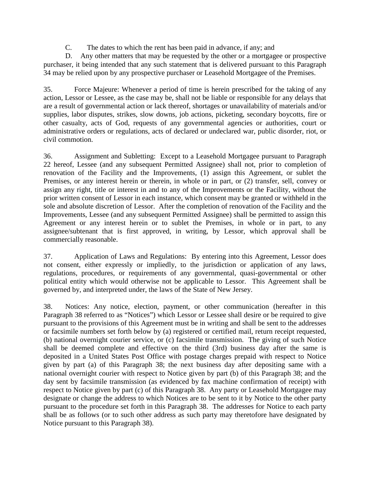C. The dates to which the rent has been paid in advance, if any; and

D. Any other matters that may be requested by the other or a mortgagee or prospective purchaser, it being intended that any such statement that is delivered pursuant to this Paragraph 34 may be relied upon by any prospective purchaser or Leasehold Mortgagee of the Premises.

35. Force Majeure: Whenever a period of time is herein prescribed for the taking of any action, Lessor or Lessee, as the case may be, shall not be liable or responsible for any delays that are a result of governmental action or lack thereof, shortages or unavailability of materials and/or supplies, labor disputes, strikes, slow downs, job actions, picketing, secondary boycotts, fire or other casualty, acts of God, requests of any governmental agencies or authorities, court or administrative orders or regulations, acts of declared or undeclared war, public disorder, riot, or civil commotion.

36. Assignment and Subletting: Except to a Leasehold Mortgagee pursuant to Paragraph 22 hereof, Lessee (and any subsequent Permitted Assignee) shall not, prior to completion of renovation of the Facility and the Improvements, (1) assign this Agreement, or sublet the Premises, or any interest herein or therein, in whole or in part, or (2) transfer, sell, convey or assign any right, title or interest in and to any of the Improvements or the Facility, without the prior written consent of Lessor in each instance, which consent may be granted or withheld in the sole and absolute discretion of Lessor. After the completion of renovation of the Facility and the Improvements, Lessee (and any subsequent Permitted Assignee) shall be permitted to assign this Agreement or any interest herein or to sublet the Premises, in whole or in part, to any assignee/subtenant that is first approved, in writing, by Lessor, which approval shall be commercially reasonable.

37. Application of Laws and Regulations: By entering into this Agreement, Lessor does not consent, either expressly or impliedly, to the jurisdiction or application of any laws, regulations, procedures, or requirements of any governmental, quasi-governmental or other political entity which would otherwise not be applicable to Lessor. This Agreement shall be governed by, and interpreted under, the laws of the State of New Jersey.

38. Notices: Any notice, election, payment, or other communication (hereafter in this Paragraph 38 referred to as "Notices") which Lessor or Lessee shall desire or be required to give pursuant to the provisions of this Agreement must be in writing and shall be sent to the addresses or facsimile numbers set forth below by (a) registered or certified mail, return receipt requested, (b) national overnight courier service, or (c) facsimile transmission. The giving of such Notice shall be deemed complete and effective on the third (3rd) business day after the same is deposited in a United States Post Office with postage charges prepaid with respect to Notice given by part (a) of this Paragraph 38; the next business day after depositing same with a national overnight courier with respect to Notice given by part (b) of this Paragraph 38; and the day sent by facsimile transmission (as evidenced by fax machine confirmation of receipt) with respect to Notice given by part (c) of this Paragraph 38. Any party or Leasehold Mortgagee may designate or change the address to which Notices are to be sent to it by Notice to the other party pursuant to the procedure set forth in this Paragraph 38. The addresses for Notice to each party shall be as follows (or to such other address as such party may theretofore have designated by Notice pursuant to this Paragraph 38).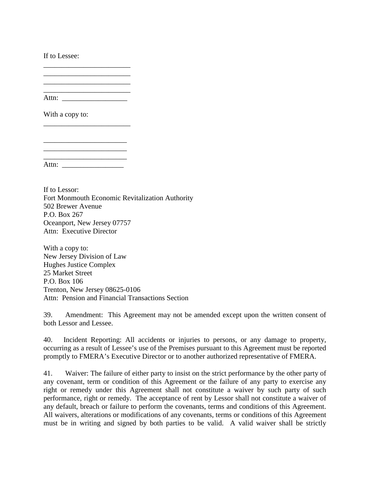If to Lessee:

\_\_\_\_\_\_\_\_\_\_\_\_\_\_\_\_\_\_\_\_\_\_\_\_ Attn: \_\_\_\_\_\_\_\_\_\_\_\_\_\_\_\_\_\_

\_\_\_\_\_\_\_\_\_\_\_\_\_\_\_\_\_\_\_\_\_\_\_\_

\_\_\_\_\_\_\_\_\_\_\_\_\_\_\_\_\_\_\_\_\_\_\_

\_\_\_\_\_\_\_\_\_\_\_\_\_\_\_\_\_\_\_\_\_\_\_\_

With a copy to:

\_\_\_\_\_\_\_\_\_\_\_\_\_\_\_\_\_\_\_\_\_\_\_ Attn:

If to Lessor: Fort Monmouth Economic Revitalization Authority 502 Brewer Avenue P.O. Box 267 Oceanport, New Jersey 07757 Attn: Executive Director

With a copy to: New Jersey Division of Law Hughes Justice Complex 25 Market Street P.O. Box 106 Trenton, New Jersey 08625-0106 Attn: Pension and Financial Transactions Section

39. Amendment: This Agreement may not be amended except upon the written consent of both Lessor and Lessee.

40. Incident Reporting: All accidents or injuries to persons, or any damage to property, occurring as a result of Lessee's use of the Premises pursuant to this Agreement must be reported promptly to FMERA's Executive Director or to another authorized representative of FMERA.

41. Waiver: The failure of either party to insist on the strict performance by the other party of any covenant, term or condition of this Agreement or the failure of any party to exercise any right or remedy under this Agreement shall not constitute a waiver by such party of such performance, right or remedy. The acceptance of rent by Lessor shall not constitute a waiver of any default, breach or failure to perform the covenants, terms and conditions of this Agreement. All waivers, alterations or modifications of any covenants, terms or conditions of this Agreement must be in writing and signed by both parties to be valid. A valid waiver shall be strictly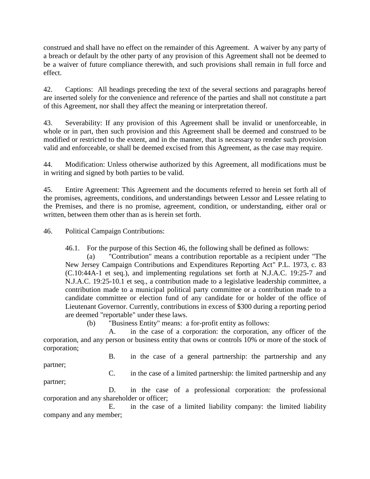construed and shall have no effect on the remainder of this Agreement. A waiver by any party of a breach or default by the other party of any provision of this Agreement shall not be deemed to be a waiver of future compliance therewith, and such provisions shall remain in full force and effect.

42. Captions: All headings preceding the text of the several sections and paragraphs hereof are inserted solely for the convenience and reference of the parties and shall not constitute a part of this Agreement, nor shall they affect the meaning or interpretation thereof.

43. Severability: If any provision of this Agreement shall be invalid or unenforceable, in whole or in part, then such provision and this Agreement shall be deemed and construed to be modified or restricted to the extent, and in the manner, that is necessary to render such provision valid and enforceable, or shall be deemed excised from this Agreement, as the case may require.

44. Modification: Unless otherwise authorized by this Agreement, all modifications must be in writing and signed by both parties to be valid.

45. Entire Agreement: This Agreement and the documents referred to herein set forth all of the promises, agreements, conditions, and understandings between Lessor and Lessee relating to the Premises, and there is no promise, agreement, condition, or understanding, either oral or written, between them other than as is herein set forth.

46. Political Campaign Contributions:

46.1. For the purpose of this Section 46, the following shall be defined as follows:

(a) "Contribution" means a contribution reportable as a recipient under "The New Jersey Campaign Contributions and Expenditures Reporting Act" P.L. 1973, c. 83 (C.10:44A-1 et seq.), and implementing regulations set forth at N.J.A.C. 19:25-7 and N.J.A.C. 19:25-10.1 et seq., a contribution made to a legislative leadership committee, a contribution made to a municipal political party committee or a contribution made to a candidate committee or election fund of any candidate for or holder of the office of Lieutenant Governor. Currently, contributions in excess of \$300 during a reporting period are deemed "reportable" under these laws.

(b) "Business Entity" means: a for-profit entity as follows:

A. in the case of a corporation: the corporation, any officer of the corporation, and any person or business entity that owns or controls 10% or more of the stock of corporation;

B. in the case of a general partnership: the partnership and any

partner;

C. in the case of a limited partnership: the limited partnership and any

partner;

D. in the case of a professional corporation: the professional corporation and any shareholder or officer;

E. in the case of a limited liability company: the limited liability company and any member;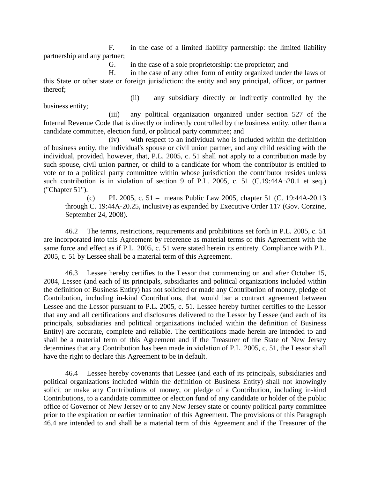F. in the case of a limited liability partnership: the limited liability partnership and any partner;

G. in the case of a sole proprietorship: the proprietor; and

H. in the case of any other form of entity organized under the laws of this State or other state or foreign jurisdiction: the entity and any principal, officer, or partner thereof;

business entity;

(ii) any subsidiary directly or indirectly controlled by the

(iii) any political organization organized under section 527 of the Internal Revenue Code that is directly or indirectly controlled by the business entity, other than a candidate committee, election fund, or political party committee; and

(iv) with respect to an individual who is included within the definition of business entity, the individual's spouse or civil union partner, and any child residing with the individual, provided, however, that, P.L. 2005, c. 51 shall not apply to a contribution made by such spouse, civil union partner, or child to a candidate for whom the contributor is entitled to vote or to a political party committee within whose jurisdiction the contributor resides unless such contribution is in violation of section 9 of P.L. 2005, c. 51 (C.19:44A¬20.1 et seq.) ("Chapter 51").

(c) PL 2005, c. 51 – means Public Law 2005, chapter 51 (C. 19:44A-20.13 through C. 19:44A-20.25, inclusive) as expanded by Executive Order 117 (Gov. Corzine, September 24, 2008).

46.2 The terms, restrictions, requirements and prohibitions set forth in P.L. 2005, c. 51 are incorporated into this Agreement by reference as material terms of this Agreement with the same force and effect as if P.L. 2005, c. 51 were stated herein its entirety. Compliance with P.L. 2005, c. 51 by Lessee shall be a material term of this Agreement.

46.3 Lessee hereby certifies to the Lessor that commencing on and after October 15, 2004, Lessee (and each of its principals, subsidiaries and political organizations included within the definition of Business Entity) has not solicited or made any Contribution of money, pledge of Contribution, including in-kind Contributions, that would bar a contract agreement between Lessee and the Lessor pursuant to P.L. 2005, c. 51. Lessee hereby further certifies to the Lessor that any and all certifications and disclosures delivered to the Lessor by Lessee (and each of its principals, subsidiaries and political organizations included within the definition of Business Entity) are accurate, complete and reliable. The certifications made herein are intended to and shall be a material term of this Agreement and if the Treasurer of the State of New Jersey determines that any Contribution has been made in violation of P.L. 2005, c. 51, the Lessor shall have the right to declare this Agreement to be in default.

46.4 Lessee hereby covenants that Lessee (and each of its principals, subsidiaries and political organizations included within the definition of Business Entity) shall not knowingly solicit or make any Contributions of money, or pledge of a Contribution, including in-kind Contributions, to a candidate committee or election fund of any candidate or holder of the public office of Governor of New Jersey or to any New Jersey state or county political party committee prior to the expiration or earlier termination of this Agreement. The provisions of this Paragraph 46.4 are intended to and shall be a material term of this Agreement and if the Treasurer of the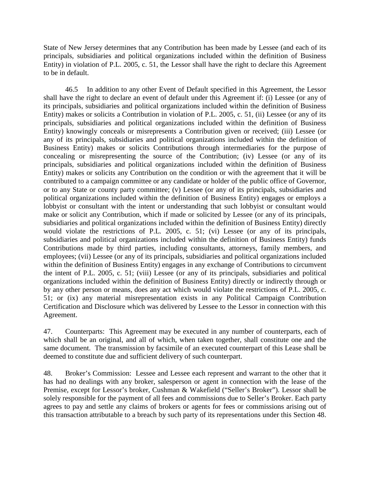State of New Jersey determines that any Contribution has been made by Lessee (and each of its principals, subsidiaries and political organizations included within the definition of Business Entity) in violation of P.L. 2005, c. 51, the Lessor shall have the right to declare this Agreement to be in default.

46.5 In addition to any other Event of Default specified in this Agreement, the Lessor shall have the right to declare an event of default under this Agreement if: (i) Lessee (or any of its principals, subsidiaries and political organizations included within the definition of Business Entity) makes or solicits a Contribution in violation of P.L. 2005, c. 51, (ii) Lessee (or any of its principals, subsidiaries and political organizations included within the definition of Business Entity) knowingly conceals or misrepresents a Contribution given or received; (iii) Lessee (or any of its principals, subsidiaries and political organizations included within the definition of Business Entity) makes or solicits Contributions through intermediaries for the purpose of concealing or misrepresenting the source of the Contribution; (iv) Lessee (or any of its principals, subsidiaries and political organizations included within the definition of Business Entity) makes or solicits any Contribution on the condition or with the agreement that it will be contributed to a campaign committee or any candidate or holder of the public office of Governor, or to any State or county party committee; (v) Lessee (or any of its principals, subsidiaries and political organizations included within the definition of Business Entity) engages or employs a lobbyist or consultant with the intent or understanding that such lobbyist or consultant would make or solicit any Contribution, which if made or solicited by Lessee (or any of its principals, subsidiaries and political organizations included within the definition of Business Entity) directly would violate the restrictions of P.L. 2005, c. 51; (vi) Lessee (or any of its principals, subsidiaries and political organizations included within the definition of Business Entity) funds Contributions made by third parties, including consultants, attorneys, family members, and employees; (vii) Lessee (or any of its principals, subsidiaries and political organizations included within the definition of Business Entity) engages in any exchange of Contributions to circumvent the intent of P.L. 2005, c. 51; (viii) Lessee (or any of its principals, subsidiaries and political organizations included within the definition of Business Entity) directly or indirectly through or by any other person or means, does any act which would violate the restrictions of P.L. 2005, c. 51; or (ix) any material misrepresentation exists in any Political Campaign Contribution Certification and Disclosure which was delivered by Lessee to the Lessor in connection with this Agreement.

47. Counterparts: This Agreement may be executed in any number of counterparts, each of which shall be an original, and all of which, when taken together, shall constitute one and the same document. The transmission by facsimile of an executed counterpart of this Lease shall be deemed to constitute due and sufficient delivery of such counterpart.

48. Broker's Commission: Lessee and Lessee each represent and warrant to the other that it has had no dealings with any broker, salesperson or agent in connection with the lease of the Premise, except for Lessor's broker, Cushman & Wakefield ("Seller's Broker"). Lessor shall be solely responsible for the payment of all fees and commissions due to Seller's Broker. Each party agrees to pay and settle any claims of brokers or agents for fees or commissions arising out of this transaction attributable to a breach by such party of its representations under this Section 48.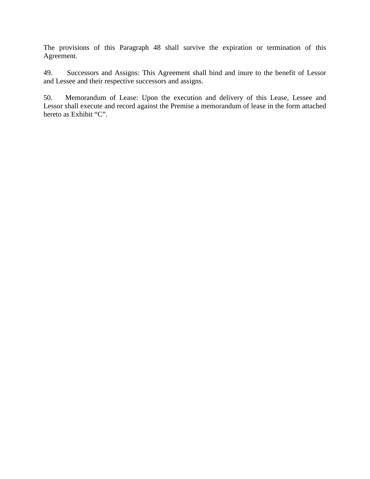The provisions of this Paragraph 48 shall survive the expiration or termination of this Agreement.

49. Successors and Assigns: This Agreement shall bind and inure to the benefit of Lessor and Lessee and their respective successors and assigns.

50. Memorandum of Lease: Upon the execution and delivery of this Lease, Lessee and Lessor shall execute and record against the Premise a memorandum of lease in the form attached hereto as Exhibit "C".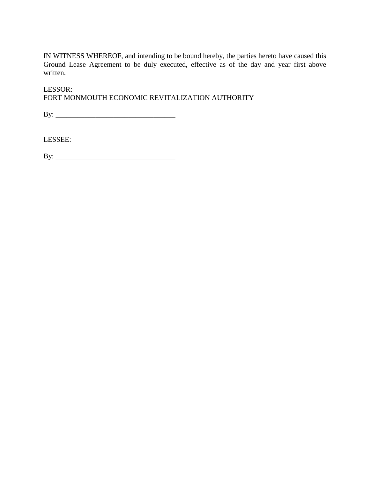IN WITNESS WHEREOF, and intending to be bound hereby, the parties hereto have caused this Ground Lease Agreement to be duly executed, effective as of the day and year first above written.

LESSOR: FORT MONMOUTH ECONOMIC REVITALIZATION AUTHORITY

By: \_\_\_\_\_\_\_\_\_\_\_\_\_\_\_\_\_\_\_\_\_\_\_\_\_\_\_\_\_\_\_\_\_

LESSEE:

By: \_\_\_\_\_\_\_\_\_\_\_\_\_\_\_\_\_\_\_\_\_\_\_\_\_\_\_\_\_\_\_\_\_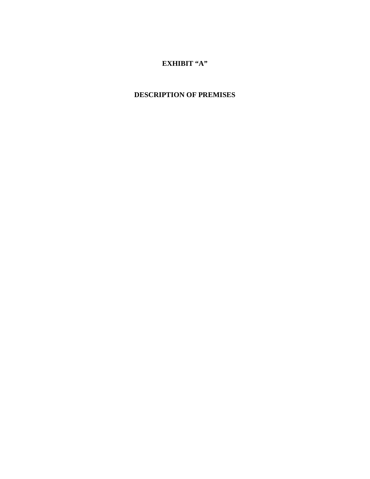### **EXHIBIT "A"**

## **DESCRIPTION OF PREMISES**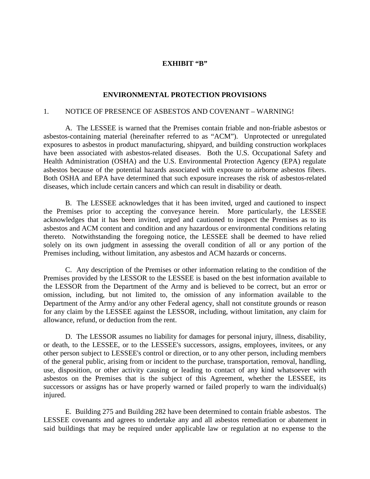#### **EXHIBIT "B"**

#### **ENVIRONMENTAL PROTECTION PROVISIONS**

### 1. NOTICE OF PRESENCE OF ASBESTOS AND COVENANT – WARNING!

A. The LESSEE is warned that the Premises contain friable and non-friable asbestos or asbestos-containing material (hereinafter referred to as "ACM"). Unprotected or unregulated exposures to asbestos in product manufacturing, shipyard, and building construction workplaces have been associated with asbestos-related diseases. Both the U.S. Occupational Safety and Health Administration (OSHA) and the U.S. Environmental Protection Agency (EPA) regulate asbestos because of the potential hazards associated with exposure to airborne asbestos fibers. Both OSHA and EPA have determined that such exposure increases the risk of asbestos-related diseases, which include certain cancers and which can result in disability or death.

B. The LESSEE acknowledges that it has been invited, urged and cautioned to inspect the Premises prior to accepting the conveyance herein. More particularly, the LESSEE acknowledges that it has been invited, urged and cautioned to inspect the Premises as to its asbestos and ACM content and condition and any hazardous or environmental conditions relating thereto. Notwithstanding the foregoing notice, the LESSEE shall be deemed to have relied solely on its own judgment in assessing the overall condition of all or any portion of the Premises including, without limitation, any asbestos and ACM hazards or concerns.

C. Any description of the Premises or other information relating to the condition of the Premises provided by the LESSOR to the LESSEE is based on the best information available to the LESSOR from the Department of the Army and is believed to be correct, but an error or omission, including, but not limited to, the omission of any information available to the Department of the Army and/or any other Federal agency, shall not constitute grounds or reason for any claim by the LESSEE against the LESSOR, including, without limitation, any claim for allowance, refund, or deduction from the rent.

D. The LESSOR assumes no liability for damages for personal injury, illness, disability, or death, to the LESSEE, or to the LESSEE's successors, assigns, employees, invitees, or any other person subject to LESSEE's control or direction, or to any other person, including members of the general public, arising from or incident to the purchase, transportation, removal, handling, use, disposition, or other activity causing or leading to contact of any kind whatsoever with asbestos on the Premises that is the subject of this Agreement, whether the LESSEE, its successors or assigns has or have properly warned or failed properly to warn the individual(s) injured.

E. Building 275 and Building 282 have been determined to contain friable asbestos. The LESSEE covenants and agrees to undertake any and all asbestos remediation or abatement in said buildings that may be required under applicable law or regulation at no expense to the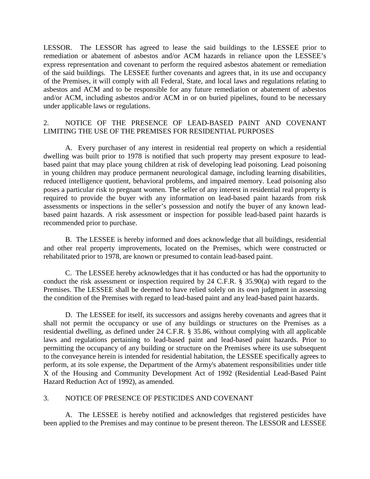LESSOR. The LESSOR has agreed to lease the said buildings to the LESSEE prior to remediation or abatement of asbestos and/or ACM hazards in reliance upon the LESSEE's express representation and covenant to perform the required asbestos abatement or remediation of the said buildings. The LESSEE further covenants and agrees that, in its use and occupancy of the Premises, it will comply with all Federal, State, and local laws and regulations relating to asbestos and ACM and to be responsible for any future remediation or abatement of asbestos and/or ACM, including asbestos and/or ACM in or on buried pipelines, found to be necessary under applicable laws or regulations.

### 2. NOTICE OF THE PRESENCE OF LEAD-BASED PAINT AND COVENANT LIMITING THE USE OF THE PREMISES FOR RESIDENTIAL PURPOSES

A. Every purchaser of any interest in residential real property on which a residential dwelling was built prior to 1978 is notified that such property may present exposure to leadbased paint that may place young children at risk of developing lead poisoning. Lead poisoning in young children may produce permanent neurological damage, including learning disabilities, reduced intelligence quotient, behavioral problems, and impaired memory. Lead poisoning also poses a particular risk to pregnant women. The seller of any interest in residential real property is required to provide the buyer with any information on lead-based paint hazards from risk assessments or inspections in the seller's possession and notify the buyer of any known leadbased paint hazards. A risk assessment or inspection for possible lead-based paint hazards is recommended prior to purchase.

B. The LESSEE is hereby informed and does acknowledge that all buildings, residential and other real property improvements, located on the Premises, which were constructed or rehabilitated prior to 1978, are known or presumed to contain lead-based paint.

C. The LESSEE hereby acknowledges that it has conducted or has had the opportunity to conduct the risk assessment or inspection required by 24 C.F.R. § 35.90(a) with regard to the Premises. The LESSEE shall be deemed to have relied solely on its own judgment in assessing the condition of the Premises with regard to lead-based paint and any lead-based paint hazards.

D. The LESSEE for itself, its successors and assigns hereby covenants and agrees that it shall not permit the occupancy or use of any buildings or structures on the Premises as a residential dwelling, as defined under 24 C.F.R. § 35.86, without complying with all applicable laws and regulations pertaining to lead-based paint and lead-based paint hazards. Prior to permitting the occupancy of any building or structure on the Premises where its use subsequent to the conveyance herein is intended for residential habitation, the LESSEE specifically agrees to perform, at its sole expense, the Department of the Army's abatement responsibilities under title X of the Housing and Community Development Act of 1992 (Residential Lead-Based Paint Hazard Reduction Act of 1992), as amended.

### 3. NOTICE OF PRESENCE OF PESTICIDES AND COVENANT

A. The LESSEE is hereby notified and acknowledges that registered pesticides have been applied to the Premises and may continue to be present thereon. The LESSOR and LESSEE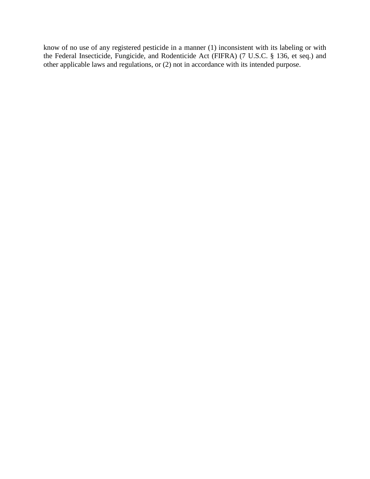know of no use of any registered pesticide in a manner (1) inconsistent with its labeling or with the Federal Insecticide, Fungicide, and Rodenticide Act (FIFRA) (7 U.S.C. § 136, et seq.) and other applicable laws and regulations, or (2) not in accordance with its intended purpose.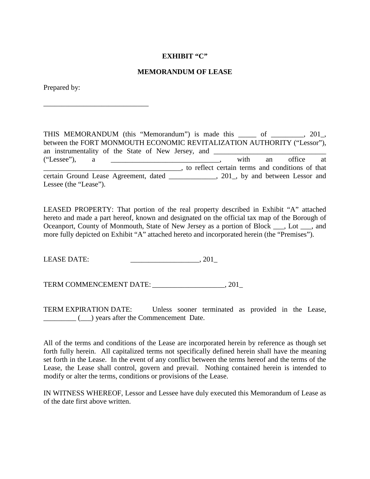#### **EXHIBIT "C"**

#### **MEMORANDUM OF LEASE**

Prepared by:

\_\_\_\_\_\_\_\_\_\_\_\_\_\_\_\_\_\_\_\_\_\_\_\_\_\_\_\_\_

THIS MEMORANDUM (this "Memorandum") is made this \_\_\_\_\_ of \_\_\_\_\_\_\_\_\_, 201\_, between the FORT MONMOUTH ECONOMIC REVITALIZATION AUTHORITY ("Lessor"), an instrumentality of the State of New Jersey, and ("Lessee"), a \_\_\_\_\_\_\_\_\_\_\_\_\_\_\_\_\_\_\_\_\_\_\_\_\_\_\_\_\_\_, with an office at \_\_\_\_\_\_\_\_\_\_\_\_\_\_\_\_\_\_\_\_\_\_\_\_\_\_\_\_\_\_\_\_\_\_\_\_\_\_, to reflect certain terms and conditions of that certain Ground Lease Agreement, dated \_\_\_\_\_\_\_\_\_\_\_\_\_, 201\_, by and between Lessor and Lessee (the "Lease").

LEASED PROPERTY: That portion of the real property described in Exhibit "A" attached hereto and made a part hereof, known and designated on the official tax map of the Borough of Oceanport, County of Monmouth, State of New Jersey as a portion of Block \_\_\_, Lot \_\_\_, and more fully depicted on Exhibit "A" attached hereto and incorporated herein (the "Premises").

LEASE DATE:  $\qquad \qquad .201$ 

TERM COMMENCEMENT DATE: \_\_\_\_\_\_\_\_\_\_\_\_\_\_\_\_\_\_\_\_, 201\_

TERM EXPIRATION DATE: Unless sooner terminated as provided in the Lease, \_\_\_\_\_\_\_\_\_ (\_\_\_) years after the Commencement Date.

All of the terms and conditions of the Lease are incorporated herein by reference as though set forth fully herein. All capitalized terms not specifically defined herein shall have the meaning set forth in the Lease. In the event of any conflict between the terms hereof and the terms of the Lease, the Lease shall control, govern and prevail. Nothing contained herein is intended to modify or alter the terms, conditions or provisions of the Lease.

IN WITNESS WHEREOF, Lessor and Lessee have duly executed this Memorandum of Lease as of the date first above written.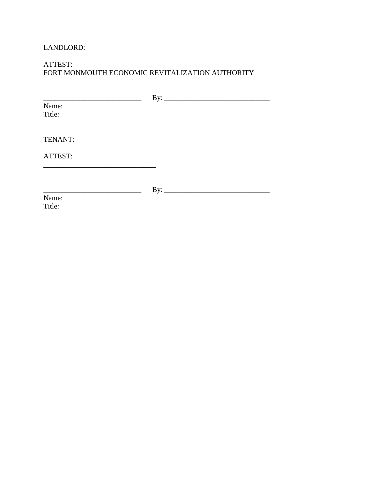### LANDLORD:

### ATTEST: FORT MONMOUTH ECONOMIC REVITALIZATION AUTHORITY

| Name:   |  |
|---------|--|
| Title:  |  |
|         |  |
| TENANT: |  |
|         |  |
| ATTEST: |  |
|         |  |
|         |  |
|         |  |
| Name:   |  |
| Title:  |  |
|         |  |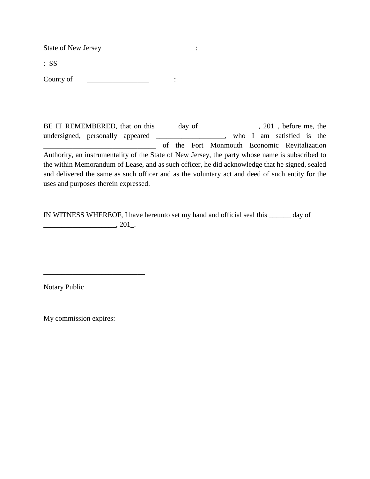State of New Jersey :

: SS

County of \_\_\_\_\_\_\_\_\_\_\_\_\_\_\_\_\_ :

BE IT REMEMBERED, that on this \_\_\_\_\_ day of \_\_\_\_\_\_\_\_\_\_\_\_\_, 201\_, before me, the undersigned, personally appeared \_\_\_\_\_\_\_\_\_\_\_\_\_\_\_\_\_\_\_, who I am satisfied is the \_\_\_\_\_\_\_\_\_\_\_\_\_\_\_\_\_\_\_\_\_\_\_\_\_\_\_\_\_\_\_ of the Fort Monmouth Economic Revitalization Authority, an instrumentality of the State of New Jersey, the party whose name is subscribed to the within Memorandum of Lease, and as such officer, he did acknowledge that he signed, sealed and delivered the same as such officer and as the voluntary act and deed of such entity for the uses and purposes therein expressed.

IN WITNESS WHEREOF, I have hereunto set my hand and official seal this \_\_\_\_\_\_ day of \_\_\_\_\_\_\_\_\_\_\_\_\_\_\_\_\_\_\_\_, 201\_.

Notary Public

My commission expires:

\_\_\_\_\_\_\_\_\_\_\_\_\_\_\_\_\_\_\_\_\_\_\_\_\_\_\_\_